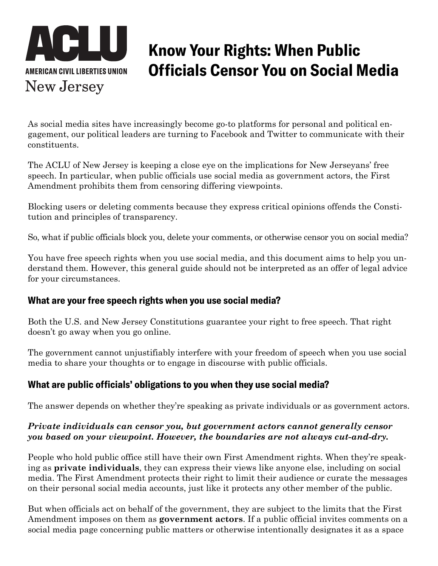

# **Know Your Rights: When Public Officials Censor You on Social Media**

As social media sites have increasingly become go-to platforms for personal and political engagement, our political leaders are turning to Facebook and Twitter to communicate with their constituents.

The ACLU of New Jersey is keeping a close eye on the implications for New Jerseyans' free speech. In particular, when public officials use social media as government actors, the First Amendment prohibits them from censoring differing viewpoints.

Blocking users or deleting comments because they express critical opinions offends the Constitution and principles of transparency.

So, what if public officials block you, delete your comments, or otherwise censor you on social media?

You have free speech rights when you use social media, and this document aims to help you understand them. However, this general guide should not be interpreted as an offer of legal advice for your circumstances.

# **What are your free speech rights when you use social media?**

Both the U.S. and New Jersey Constitutions guarantee your right to free speech. That right doesn't go away when you go online.

The government cannot unjustifiably interfere with your freedom of speech when you use social media to share your thoughts or to engage in discourse with public officials.

# **What are public officials' obligations to you when they use social media?**

The answer depends on whether they're speaking as private individuals or as government actors.

#### *Private individuals can censor you, but government actors cannot generally censor you based on your viewpoint. However, the boundaries are not always cut-and-dry.*

People who hold public office still have their own First Amendment rights. When they're speaking as **private individuals**, they can express their views like anyone else, including on social media. The First Amendment protects their right to limit their audience or curate the messages on their personal social media accounts, just like it protects any other member of the public.

But when officials act on behalf of the government, they are subject to the limits that the First Amendment imposes on them as **government actors**. If a public official invites comments on a social media page concerning public matters or otherwise intentionally designates it as a space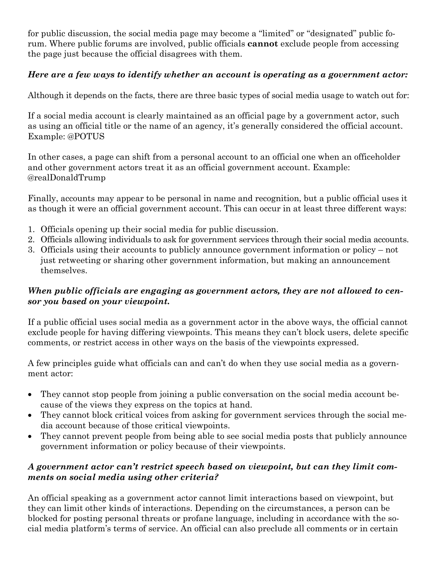for public discussion, the social media page may become a "limited" or "designated" public forum. Where public forums are involved, public officials **cannot** exclude people from accessing the page just because the official disagrees with them.

### *Here are a few ways to identify whether an account is operating as a government actor:*

Although it depends on the facts, there are three basic types of social media usage to watch out for:

If a social media account is clearly maintained as an official page by a government actor, such as using an official title or the name of an agency, it's generally considered the official account. Example: @POTUS

In other cases, a page can shift from a personal account to an official one when an officeholder and other government actors treat it as an official government account. Example: @realDonaldTrump

Finally, accounts may appear to be personal in name and recognition, but a public official uses it as though it were an official government account. This can occur in at least three different ways:

- 1. Officials opening up their social media for public discussion.
- 2. Officials allowing individuals to ask for government services through their social media accounts.
- 3. Officials using their accounts to publicly announce government information or policy not just retweeting or sharing other government information, but making an announcement themselves.

#### *When public officials are engaging as government actors, they are not allowed to censor you based on your viewpoint.*

If a public official uses social media as a government actor in the above ways, the official cannot exclude people for having differing viewpoints. This means they can't block users, delete specific comments, or restrict access in other ways on the basis of the viewpoints expressed.

A few principles guide what officials can and can't do when they use social media as a government actor:

- They cannot stop people from joining a public conversation on the social media account because of the views they express on the topics at hand.
- They cannot block critical voices from asking for government services through the social media account because of those critical viewpoints.
- They cannot prevent people from being able to see social media posts that publicly announce government information or policy because of their viewpoints.

#### *A government actor can't restrict speech based on viewpoint, but can they limit comments on social media using other criteria?*

An official speaking as a government actor cannot limit interactions based on viewpoint, but they can limit other kinds of interactions. Depending on the circumstances, a person can be blocked for posting personal threats or profane language, including in accordance with the social media platform's terms of service. An official can also preclude all comments or in certain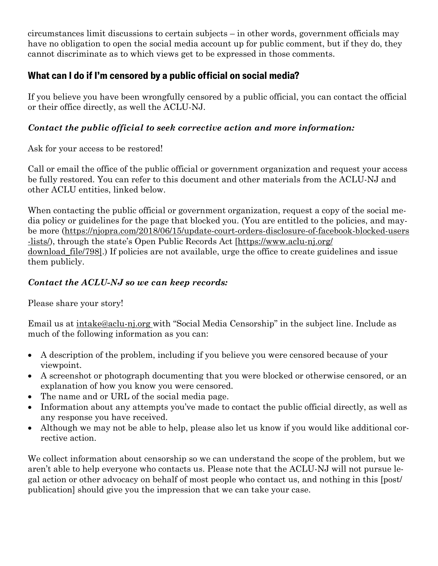circumstances limit discussions to certain subjects – in other words, government officials may have no obligation to open the social media account up for public comment, but if they do, they cannot discriminate as to which views get to be expressed in those comments.

# **What can I do if I'm censored by a public official on social media?**

If you believe you have been wrongfully censored by a public official, you can contact the official or their office directly, as well the ACLU-NJ.

## *Contact the public official to seek corrective action and more information:*

Ask for your access to be restored!

Call or email the office of the public official or government organization and request your access be fully restored. You can refer to this document and other materials from the ACLU-NJ and other ACLU entities, linked below.

When contacting the public official or government organization, request a copy of the social media policy or guidelines for the page that blocked you. (You are entitled to the policies, and maybe more (https://njopra.com/2018/06/15/update-court-orders-disclosure-of-facebook-blocked-users -lists/), through the state's Open Public Records Act [https://www.aclu-nj.org/ download file/798].) If policies are not available, urge the office to create guidelines and issue them publicly.

#### *Contact the ACLU-NJ so we can keep records:*

Please share your story!

Email us at intake@aclu-nj.org with "Social Media Censorship" in the subject line. Include as much of the following information as you can:

- A description of the problem, including if you believe you were censored because of your viewpoint.
- A screenshot or photograph documenting that you were blocked or otherwise censored, or an explanation of how you know you were censored.
- The name and or URL of the social media page.
- Information about any attempts you've made to contact the public official directly, as well as any response you have received.
- Although we may not be able to help, please also let us know if you would like additional corrective action.

We collect information about censorship so we can understand the scope of the problem, but we aren't able to help everyone who contacts us. Please note that the ACLU-NJ will not pursue legal action or other advocacy on behalf of most people who contact us, and nothing in this [post/ publication] should give you the impression that we can take your case.